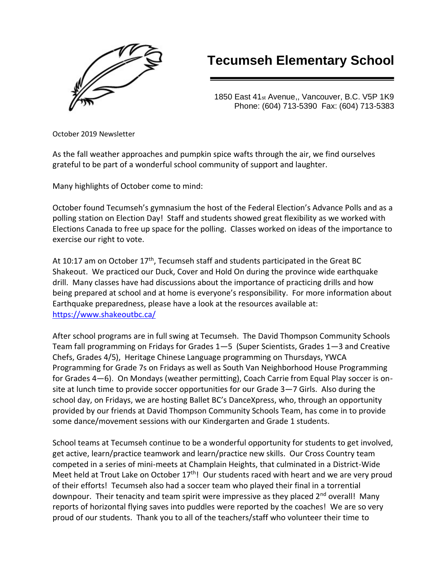

## **Tecumseh Elementary School**

1850 East 41st Avenue,, Vancouver, B.C. V5P 1K9 Phone: (604) 713-5390 Fax: (604) 713-5383

October 2019 Newsletter

As the fall weather approaches and pumpkin spice wafts through the air, we find ourselves grateful to be part of a wonderful school community of support and laughter.

Many highlights of October come to mind:

October found Tecumseh's gymnasium the host of the Federal Election's Advance Polls and as a polling station on Election Day! Staff and students showed great flexibility as we worked with Elections Canada to free up space for the polling. Classes worked on ideas of the importance to exercise our right to vote.

At 10:17 am on October 17<sup>th</sup>, Tecumseh staff and students participated in the Great BC Shakeout. We practiced our Duck, Cover and Hold On during the province wide earthquake drill. Many classes have had discussions about the importance of practicing drills and how being prepared at school and at home is everyone's responsibility. For more information about Earthquake preparedness, please have a look at the resources available at: <https://www.shakeoutbc.ca/>

After school programs are in full swing at Tecumseh. The David Thompson Community Schools Team fall programming on Fridays for Grades 1—5 (Super Scientists, Grades 1—3 and Creative Chefs, Grades 4/5), Heritage Chinese Language programming on Thursdays, YWCA Programming for Grade 7s on Fridays as well as South Van Neighborhood House Programming for Grades 4—6). On Mondays (weather permitting), Coach Carrie from Equal Play soccer is onsite at lunch time to provide soccer opportunities for our Grade 3—7 Girls. Also during the school day, on Fridays, we are hosting Ballet BC's DanceXpress, who, through an opportunity provided by our friends at David Thompson Community Schools Team, has come in to provide some dance/movement sessions with our Kindergarten and Grade 1 students.

School teams at Tecumseh continue to be a wonderful opportunity for students to get involved, get active, learn/practice teamwork and learn/practice new skills. Our Cross Country team competed in a series of mini-meets at Champlain Heights, that culminated in a District-Wide Meet held at Trout Lake on October  $17<sup>th</sup>$ ! Our students raced with heart and we are very proud of their efforts! Tecumseh also had a soccer team who played their final in a torrential downpour. Their tenacity and team spirit were impressive as they placed  $2<sup>nd</sup>$  overall! Many reports of horizontal flying saves into puddles were reported by the coaches! We are so very proud of our students. Thank you to all of the teachers/staff who volunteer their time to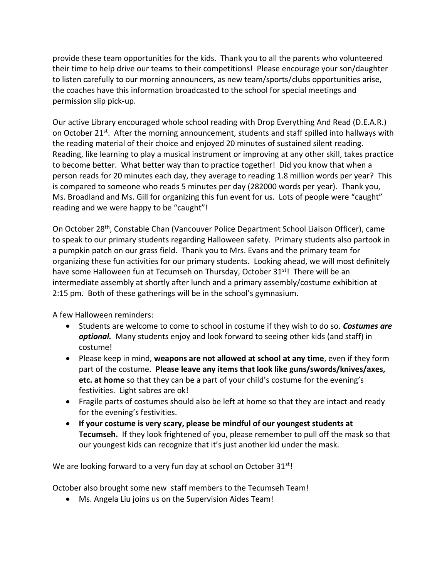provide these team opportunities for the kids. Thank you to all the parents who volunteered their time to help drive our teams to their competitions! Please encourage your son/daughter to listen carefully to our morning announcers, as new team/sports/clubs opportunities arise, the coaches have this information broadcasted to the school for special meetings and permission slip pick-up.

Our active Library encouraged whole school reading with Drop Everything And Read (D.E.A.R.) on October  $21^{st}$ . After the morning announcement, students and staff spilled into hallways with the reading material of their choice and enjoyed 20 minutes of sustained silent reading. Reading, like learning to play a musical instrument or improving at any other skill, takes practice to become better. What better way than to practice together! Did you know that when a person reads for 20 minutes each day, they average to reading 1.8 million words per year? This is compared to someone who reads 5 minutes per day (282000 words per year). Thank you, Ms. Broadland and Ms. Gill for organizing this fun event for us. Lots of people were "caught" reading and we were happy to be "caught"!

On October 28th, Constable Chan (Vancouver Police Department School Liaison Officer), came to speak to our primary students regarding Halloween safety. Primary students also partook in a pumpkin patch on our grass field. Thank you to Mrs. Evans and the primary team for organizing these fun activities for our primary students. Looking ahead, we will most definitely have some Halloween fun at Tecumseh on Thursday, October  $31^{st}$ ! There will be an intermediate assembly at shortly after lunch and a primary assembly/costume exhibition at 2:15 pm. Both of these gatherings will be in the school's gymnasium.

A few Halloween reminders:

- Students are welcome to come to school in costume if they wish to do so. *Costumes are optional.* Many students enjoy and look forward to seeing other kids (and staff) in costume!
- Please keep in mind, **weapons are not allowed at school at any time**, even if they form part of the costume. **Please leave any items that look like guns/swords/knives/axes, etc. at home** so that they can be a part of your child's costume for the evening's festivities. Light sabres are ok!
- Fragile parts of costumes should also be left at home so that they are intact and ready for the evening's festivities.
- **If your costume is very scary, please be mindful of our youngest students at Tecumseh.** If they look frightened of you, please remember to pull off the mask so that our youngest kids can recognize that it's just another kid under the mask.

We are looking forward to a very fun day at school on October 31<sup>st</sup>!

October also brought some new staff members to the Tecumseh Team!

• Ms. Angela Liu joins us on the Supervision Aides Team!